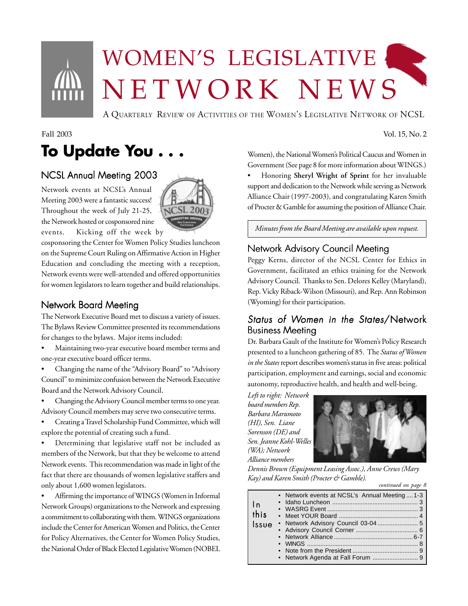# WOMEN'S LEGISLATIVE NETWORK NEWS

A QUARTERLY REVIEW OF ACTIVITIES OF THE WOMEN'S LEGISLATIVE NETWORK OF NCSL

# **To Update You . . .**

### NCSL Annual Meeting 2003

Network events at NCSL's Annual Meeting 2003 were a fantastic success! Throughout the week of July 21-25, the Network hosted or cosponsored nine events. Kicking off the week by

cosponsoring the Center for Women Policy Studies luncheon on the Supreme Court Ruling on Affirmative Action in Higher Education and concluding the meeting with a reception, Network events were well-attended and offered opportunities for women legislators to learn together and build relationships.

### Network Board Meeting

The Network Executive Board met to discuss a variety of issues. The Bylaws Review Committee presented its recommendations for changes to the bylaws. Major items included:

- Maintaining two-year executive board member terms and one-year executive board officer terms.
- Changing the name of the "Advisory Board" to "Advisory Council" to minimize confusion between the Network Executive Board and the Network Advisory Council.
- Changing the Advisory Council member terms to one year. Advisory Council members may serve two consecutive terms.
- Creating a Travel Scholarship Fund Committee, which will explore the potential of creating such a fund.

• Determining that legislative staff not be included as members of the Network, but that they be welcome to attend Network events. This recommendation was made in light of the fact that there are thousands of women legislative staffers and only about 1,600 women legislators.

• Affirming the importance of WINGS (Women in Informal Network Groups) organizations to the Network and expressing a commitment to collaborating with them. WINGS organizations include the Center for American Women and Politics, the Center for Policy Alternatives, the Center for Women Policy Studies, the National Order of Black Elected Legislative Women (NOBEL Women), the National Women's Political Caucus and Women in Government (See page 8 for more information about WINGS.)

• Honoring **Sheryl Wright of Sprint** for her invaluable support and dedication to the Network while serving as Network Alliance Chair (1997-2003), and congratulating Karen Smith of Procter & Gamble for assuming the position of Alliance Chair.

1234567890123456789012345678901212345678901234567890123456789012123456 1234567890123456789012345678901212345678901234567890123456789012123456  $\mid$  Minutes from the Board Meeting are available upon request.  $\mid$ 1234567890123456789012345678901212345678901234567890123456789012123456 1234567890123456789012345678901212345678901234567890123456789012123456

### Network Advisory Council Meeting

Peggy Kerns, director of the NCSL Center for Ethics in Government, facilitated an ethics training for the Network Advisory Council. Thanks to Sen. Delores Kelley (Maryland), Rep. Vicky Riback-Wilson (Missouri), and Rep. Ann Robinson (Wyoming) for their participation.

### Status of Women in the States/Network Business Meeting

Dr. Barbara Gault of the Institute for Women's Policy Research presented to a luncheon gathering of 85. The *Status of Women in the States* report describes women's status in five areas: political participation, employment and earnings, social and economic autonomy, reproductive health, and health and well-being.

*Left to right: Network board members Rep. Barbara Marumoto (HI), Sen. Liane Sorenson (DE) and Sen. Jeanne Kohl-Welles (WA); Network Alliance members*



*Dennis Brown (Equipment Leasing Assoc.), Anne Crews (Mary Kay) and Karen Smith (Procter & Gamble). continued on page 8*





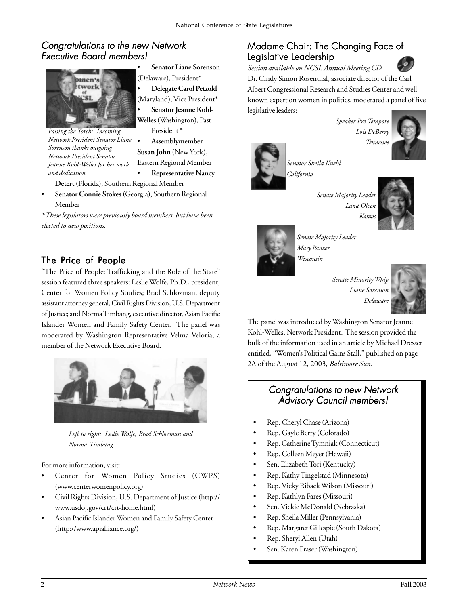### Congratulations to the new Network **Executive Board members!**



*Passing the Torch: Incoming Network President Senator Liane Sorenson thanks outgoing Network President Senator Jeanne Kohl-Welles for her work and dedication.*

- **Senator Liane Sorenson** (Delaware), President\*
- **Delegate Carol Petzold** (Maryland), Vice President\*

Senator Jeanne Kohl-**Welles** (Washington), Past President \*

• **Assemblymember**

**Susan John** (New York), Eastern Regional Member

• **Representative Nancy**

**Detert** (Florida), Southern Regional Member

• **Senator Connie Stokes** (Georgia), Southern Regional Member

*\* These legislators were previously board members, but have been elected to new positions.*

### The Price of People

"The Price of People: Trafficking and the Role of the State" session featured three speakers: Leslie Wolfe, Ph.D., president, Center for Women Policy Studies; Brad Schlozman, deputy assistant attorney general, Civil Rights Division, U.S. Department of Justice; and Norma Timbang, executive director, Asian Pacific Islander Women and Family Safety Center. The panel was moderated by Washington Representative Velma Veloria, a member of the Network Executive Board.



*Left to right: Leslie Wolfe, Brad Schlozman and Norma Timbang*

For more information, visit:

- Center for Women Policy Studies (CWPS) (www.centerwomenpolicy.org)
- Civil Rights Division, U.S. Department of Justice (http:// www.usdoj.gov/crt/crt-home.html)
- Asian Pacific Islander Women and Family Safety Center (http://www.apialliance.org/)

### Madame Chair: The Changing Face of Legislative Leadership

*Session available on NCSL Annual Meeting CD*



Dr. Cindy Simon Rosenthal, associate director of the Carl Albert Congressional Research and Studies Center and wellknown expert on women in politics, moderated a panel of five legislative leaders:

> *Speaker Pro Tempore Lois DeBerry Tennessee*



*Senator Sheila Kuehl California*

*Senate Majority Leader*





*Senate Majority Leader Mary Panzer Wisconsin*

*Senate Minority Whip Liane Sorenson Delaware*



The panel was introduced by Washington Senator Jeanne Kohl-Welles, Network President. The session provided the bulk of the information used in an article by Michael Dresser entitled, "Women's Political Gains Stall," published on page 2A of the August 12, 2003, *Baltimore Sun*.

### Congratulations to new Network Advisory Council members!

- Rep. Cheryl Chase (Arizona)
- Rep. Gayle Berry (Colorado)
- Rep. Catherine Tymniak (Connecticut)
- Rep. Colleen Meyer (Hawaii)
- Sen. Elizabeth Tori (Kentucky)
- Rep. Kathy Tingelstad (Minnesota)
- Rep. Vicky Riback Wilson (Missouri)
- Rep. Kathlyn Fares (Missouri)
- Sen. Vickie McDonald (Nebraska)
- Rep. Sheila Miller (Pennsylvania)
- Rep. Margaret Gillespie (South Dakota)
- Rep. Sheryl Allen (Utah)
- Sen. Karen Fraser (Washington)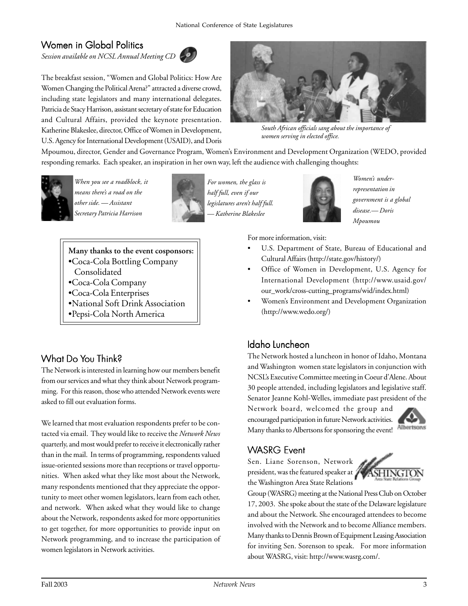### Women in Global Politics

*Session available on NCSL Annual Meeting CD*



The breakfast session, "Women and Global Politics: How Are Women Changing the Political Arena?" attracted a diverse crowd, including state legislators and many international delegates. Patricia de Stacy Harrison, assistant secretary of state for Education and Cultural Affairs, provided the keynote presentation. Katherine Blakeslee, director, Office of Women in Development, U.S. Agency for International Development (USAID), and Doris



*South African officials sang about the importance of women serving in elected office.*

Mpoumou, director, Gender and Governance Program, Women's Environment and Development Organization (WEDO, provided responding remarks. Each speaker, an inspiration in her own way, left the audience with challenging thoughts:



*When you see a roadblock, it means there's a road on the other side. — Assistant Secretary Patricia Harrison*



*For women, the glass is half full, even if our legislatures aren't half full. — Katherine Blakeslee*



*Women's underrepresentation in government is a global disease.— Doris Mpoumou*

**Many thanks to the event cosponsors:**

- •Coca-Cola Bottling Company
- Consolidated
- •Coca-Cola Company
- •Coca-Cola Enterprises
- •National Soft Drink Association
- •Pepsi-Cola North America

### What Do You Think?

The Network is interested in learning how our members benefit from our services and what they think about Network programming. For this reason, those who attended Network events were asked to fill out evaluation forms.

We learned that most evaluation respondents prefer to be contacted via email. They would like to receive the *Network News* quarterly, and most would prefer to receive it electronically rather than in the mail. In terms of programming, respondents valued issue-oriented sessions more than receptions or travel opportunities. When asked what they like most about the Network, many respondents mentioned that they appreciate the opportunity to meet other women legislators, learn from each other, and network. When asked what they would like to change about the Network, respondents asked for more opportunities to get together, for more opportunities to provide input on Network programming, and to increase the participation of women legislators in Network activities.

For more information, visit:

- U.S. Department of State, Bureau of Educational and Cultural Affairs (http://state.gov/history/)
- Office of Women in Development, U.S. Agency for International Development (http://www.usaid.gov/ our\_work/cross-cutting\_programs/wid/index.html)
- Women's Environment and Development Organization (http://www.wedo.org/)

### Idaho Luncheon

The Network hosted a luncheon in honor of Idaho, Montana and Washington women state legislators in conjunction with NCSL's Executive Committee meeting in Coeur d'Alene. About 30 people attended, including legislators and legislative staff. Senator Jeanne Kohl-Welles, immediate past president of the

Network board, welcomed the group and encouraged participation in future Network activities. Many thanks to Albertsons for sponsoring the event! Albertsons



### **WASRG Fvent**

Sen. Liane Sorenson, Network president, was the featured speaker at 2 the Washington Area State Relations



Group (WASRG) meeting at the National Press Club on October 17, 2003. She spoke about the state of the Delaware legislature and about the Network. She encouraged attendees to become involved with the Network and to become Alliance members. Many thanks to Dennis Brown of Equipment Leasing Association for inviting Sen. Sorenson to speak. For more information about WASRG, visit: http://www.wasrg.com/.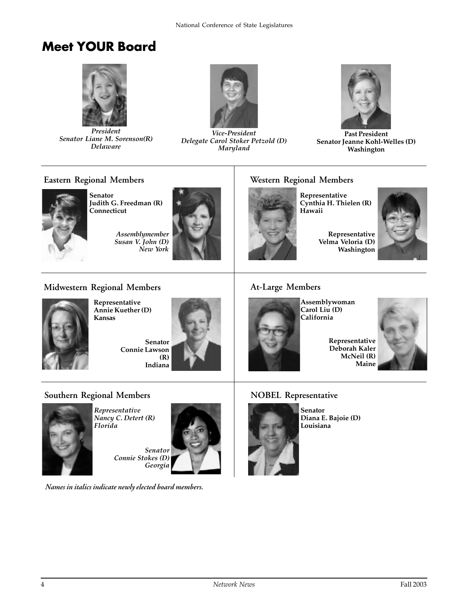### **Meet YOUR Board**



*President Senator Liane M. Sorenson(R) Delaware*



*Vice-President Delegate Carol Stoker Petzold (D) Maryland*



**Past President Senator Jeanne Kohl-Welles (D) Washington**

#### **Eastern Regional Members**



**Senator Judith G. Freedman (R) Connecticut**

*Assemblymember Susan V. John (D) New York*



### **Western Regional Members**

**Representative Cynthia H. Thielen (R) Hawaii**

**Representative Velma Veloria (D) Washington**



### **Midwestern Regional Members**



**Representative Annie Kuether (D) Kansas**

**Senator Connie Lawson (R) Indiana**



### **At-Large Members**



**Assemblywoman Carol Liu (D) California**

**Representative Deborah Kaler McNeil (R) Maine**

### **Southern Regional Members**



*Representative Nancy C. Detert (R) Florida*

> *Senator Connie Stokes (D) Georgia*



**NOBEL Representative**



**Senator Diana E. Bajoie (D) Louisiana**

*Names in italics indicate newly elected board members.*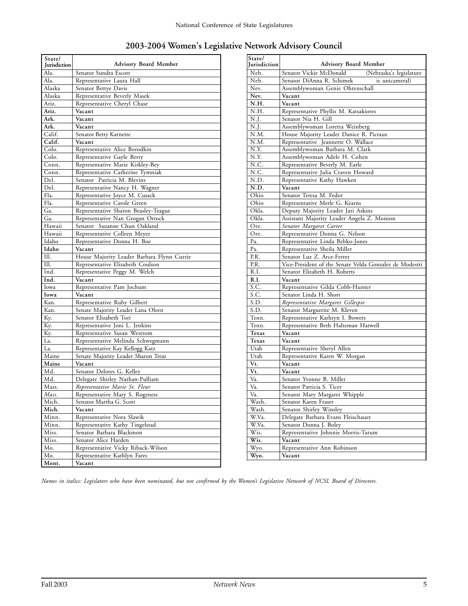| State/<br>Jurisdiction | <b>Advisory Board Member</b>               |
|------------------------|--------------------------------------------|
| Ala.                   | Senator Sundra Escott                      |
| Ala.                   | Representative Laura Hall                  |
| Alaska                 | Senator Bettye Davis                       |
| Alaska                 | Representative Beverly Masek               |
| Ariz.                  | Representative Cheryl Chase                |
| Ariz.                  | Vacant                                     |
| Ark.                   | Vacant                                     |
| Ark.                   | Vacant                                     |
| Calif.                 | Senator Betty Karnette                     |
| Calif.                 | Vacant                                     |
| Colo.                  | Representative Alice Borodkin              |
| Colo.                  | Representative Gayle Berry                 |
| Conn.                  | Representative Marie Kirkley-Bey           |
| Conn.                  | Representative Catherine Tymniak           |
| Del.                   | Senator Patricia M. Blevins                |
| Del.                   | Representative Nancy H. Wagner             |
| Fla.                   | Representative Joyce M. Cusack             |
| Fla.                   | Representative Carole Green                |
| Ga.                    | Representative Sharon Beasley-Teague       |
| Ga.                    | Representative Nan Grogan Orrock           |
| Hawaii                 | Senator Suzanne Chun Oakland               |
| Hawaii                 | Representative Colleen Meyer               |
| Idaho                  | Representative Donna H. Boe                |
| Idaho                  | Vacant                                     |
| Ill.                   | House Majority Leader Barbara Flynn Currie |
| Ill.                   | Representative Elizabeth Coulson           |
| Ind.                   | Representative Peggy M. Welch              |
| Ind.                   | Vacant                                     |
| Iowa                   | Representative Pam Jochum                  |
| Iowa                   | Vacant                                     |
| Kan.                   | Representative Ruby Gilbert                |
| Kan.                   | Senate Majority Leader Lana Oleen          |
| Ky.                    | Senator Elizabeth Tori                     |
| Ky.                    | Representative Joni L. Jenkins             |
| Ky.                    | Representative Susan Westrom               |
| La.                    | Representative Melinda Schwegmann          |
| La.                    | Representative Kay Kellogg Katz            |
| Maine                  | Senate Majority Leader Sharon Treat        |
| Maine                  | Vacant                                     |
| Md.                    | Senator Delores G. Kelley                  |
| Md.                    | Delegate Shirley Nathan-Pulliam            |
| Mass.                  | Representative Marie St. Fleur             |
| Mass.                  | Representative Mary S. Rogeness            |
| Mich.                  | Senator Martha G. Scott                    |
| Mich.                  | Vacant                                     |
| Minn.                  | Representative Nora Slawik                 |
| Minn.                  | Representative Kathy Tingelstad            |
| Miss.                  | Senator Barbara Blackmon                   |
| Miss.                  | Senator Alice Harden                       |
| Mo.                    | Representative Vicky Riback-Wilson         |
| Mo.                    | Representative Kathlyn Fares               |
| Mont.                  | Vacant                                     |

| State/         |                                                         |
|----------------|---------------------------------------------------------|
| Iurisdiction   | <b>Advisory Board Member</b>                            |
| Neb.           | Senator Vickie McDonald<br>(Nebraska's legislature      |
| Neb.           | Senator DiAnna R. Schimek<br>is unicameral)             |
| Nev.           | Assemblywoman Genie Ohrenschall                         |
| Nev.           | Vacant                                                  |
| N.H.           | Vacant                                                  |
| N.H.           | Representative Phyllis M. Katsakiores                   |
| N.J.           | Senator Nia H. Gill                                     |
| N.J.           | Assemblywoman Loretta Weinberg                          |
| N.M.           | House Majority Leader Danice R. Picraux                 |
| N.M.           | Representative Jeannette O. Wallace                     |
| N.Y.           | Assemblywoman Barbara M. Clark                          |
| N.Y.           | Assemblywoman Adele H. Cohen                            |
| N.C.           | Representative Beverly M. Earle                         |
| N.C.           | Representative Julia Craven Howard                      |
| N.D.           | Representative Kathy Hawken                             |
| N.D.           | Vacant                                                  |
| Ohio           | Senator Teresa M. Fedor                                 |
| Ohio           | Representative Merle G. Kearns                          |
| Okla.          | Deputy Majority Leader Jari Askins                      |
| Okla.          | Assistant Majority Leader Angela Z. Monson              |
| Ore.           | Senator Margaret Carter                                 |
| Ore.           | Representative Donna G. Nelson                          |
| Pa.            | Representative Linda Bebko-Jones                        |
| P <sub>a</sub> | Representative Sheila Miller                            |
| PR.            | Senator Luz Z. Arce-Ferrer                              |
| P.R.           | Vice-President of the Senate Velda Gonzalez de Modestti |
| R.I.           | Senator Elizabeth H. Roberts                            |
| R.I.           | Vacant                                                  |
| S.C.           | Representative Gilda Cobb-Hunter                        |
| S.C.           | Senator Linda H. Short                                  |
| S.D.           | Representative Margaret Gillespie                       |
| S.D.           | Senator Marguerite M. Kleven                            |
| Tenn.<br>Tenn. | Representative Kathryn I. Bowers                        |
| Texas          | Representative Beth Halteman Harwell<br>Vacant          |
| Texas          | Vacant                                                  |
| Utah           | Representative Sheryl Allen                             |
| Utah           | Representative Karen W. Morgan                          |
| Vt.            | Vacant                                                  |
| Vt.            | Vacant                                                  |
| Va.            | Senator Yvonne B. Miller                                |
| Va.            | Senator Patricia S. Ticer                               |
| Va.            | Senator Mary Margaret Whipple                           |
| Wash.          | Senator Karen Fraser                                    |
| Wash.          | Senator Shirley Winsley                                 |
| W.Va.          | Delegate Barbara Evans Fleischauer                      |
| W.Va.          | Senator Donna J. Boley                                  |
| Wis.           | Representative Johnnie Morris-Tatum                     |
| Wis.           | Vacant                                                  |
| Wyo.           | Representative Ann Robinson                             |
| Wyo.           | Vacant                                                  |

*Names in italics: Legislators who have been nominated, but not confirmed by the Women's Legislative Network of NCSL Board of Directors.*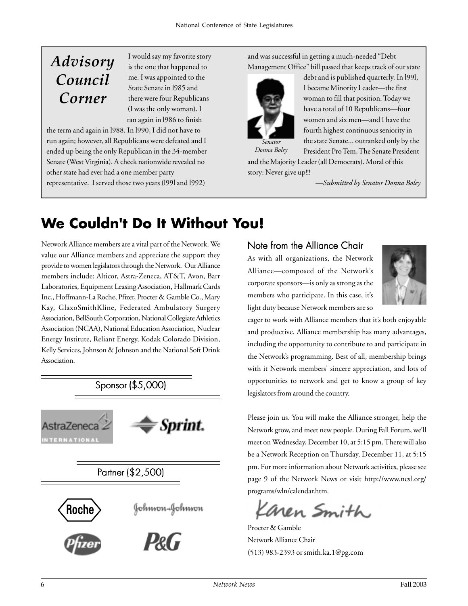### *Advisory Council Corner*

I would say my favorite story is the one that happened to me. I was appointed to the State Senate in l985 and there were four Republicans (I was the only woman). I ran again in l986 to finish

the term and again in l988. In l990, I did not have to run again; however, all Republicans were defeated and I ended up being the only Republican in the 34-member Senate (West Virginia). A check nationwide revealed no other state had ever had a one member party representative. I served those two years (l99l and l992)

and was successful in getting a much-needed "Debt Management Office" bill passed that keeps track of our state



debt and is published quarterly. In l99l, I became Minority Leader—the first woman to fill that position. Today we have a total of 10 Republicans—four women and six men—and I have the fourth highest continuous seniority in the state Senate... outranked only by the

*Donna Boley*

President Pro Tem, The Senate President and the Majority Leader (all Democrats). Moral of this story: Never give up!!!

*—Submitted by Senator Donna Boley*

### **We Couldn't Do It Without You!**

Network Alliance members are a vital part of the Network. We value our Alliance members and appreciate the support they provide to women legislators through the Network. Our Alliance members include: Alticor, Astra-Zeneca, AT&T, Avon, Barr Laboratories, Equipment Leasing Association, Hallmark Cards Inc., Hoffmann-La Roche, Pfizer, Procter & Gamble Co., Mary Kay, GlaxoSmithKline, Federated Ambulatory Surgery Association, BellSouth Corporation, National Collegiate Athletics Association (NCAA), National Education Association, Nuclear Energy Institute, Reliant Energy, Kodak Colorado Division, Kelly Services, Johnson & Johnson and the National Soft Drink Association.



#### Note from the Alliance Chair

As with all organizations, the Network Alliance—composed of the Network's corporate sponsors—is only as strong as the members who participate. In this case, it's light duty because Network members are so



eager to work with Alliance members that it's both enjoyable and productive. Alliance membership has many advantages, including the opportunity to contribute to and participate in the Network's programming. Best of all, membership brings with it Network members' sincere appreciation, and lots of opportunities to network and get to know a group of key legislators from around the country.

Please join us. You will make the Alliance stronger, help the Network grow, and meet new people. During Fall Forum, we'll meet on Wednesday, December 10, at 5:15 pm. There will also be a Network Reception on Thursday, December 11, at 5:15 pm. For more information about Network activities, please see page 9 of the Network News or visit http://www.ncsl.org/ programs/wln/calendar.htm.

Kanen Smith

Procter & Gamble Network Alliance Chair (513) 983-2393 or smith.ka.1@pg.com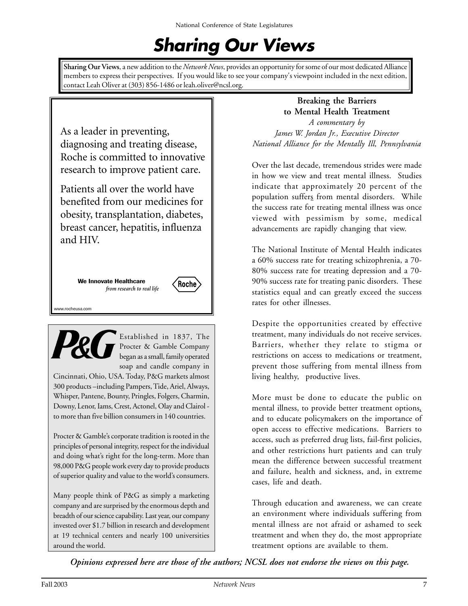# **Sharing Our Views**

**Sharing Our Views**, a new addition to the *Network News*, provides an opportunity for some of our most dedicated Alliance members to express their perspectives. If you would like to see your company's viewpoint included in the next edition, contact Leah Oliver at (303) 856-1486 or leah.oliver@ncsl.org.

As a leader in preventing, diagnosing and treating disease, Roche is committed to innovative research to improve patient care.

Patients all over the world have benefited from our medicines for obesity, transplantation, diabetes, breast cancer, hepatitis, influenza and HIV.

> **We Innovate Healthcare** *from research to real life*

www.rocheusa.com



Established in 1837, The Procter & Gamble Company began as a small, family operated soap and candle company in

Roche

Cincinnati, Ohio, USA. Today, P&G markets almost 300 products –including Pampers, Tide, Ariel, Always, Whisper, Pantene, Bounty, Pringles, Folgers, Charmin, Downy, Lenor, Iams, Crest, Actonel, Olay and Clairol to more than five billion consumers in 140 countries.

Procter & Gamble's corporate tradition is rooted in the principles of personal integrity, respect for the individual and doing what's right for the long-term. More than 98,000 P&G people work every day to provide products of superior quality and value to the world's consumers.

Many people think of P&G as simply a marketing company and are surprised by the enormous depth and breadth of our science capability. Last year, our company invested over \$1.7 billion in research and development at 19 technical centers and nearly 100 universities around the world.

#### **Breaking the Barriers to Mental Health Treatment**

*A commentary by James W. Jordan Jr., Executive Director National Alliance for the Mentally Ill, Pennsylvania*

Over the last decade, tremendous strides were made in how we view and treat mental illness. Studies indicate that approximately 20 percent of the population suffers from mental disorders. While the success rate for treating mental illness was once viewed with pessimism by some, medical advancements are rapidly changing that view.

The National Institute of Mental Health indicates a 60% success rate for treating schizophrenia, a 70- 80% success rate for treating depression and a 70- 90% success rate for treating panic disorders. These statistics equal and can greatly exceed the success rates for other illnesses.

Despite the opportunities created by effective treatment, many individuals do not receive services. Barriers, whether they relate to stigma or restrictions on access to medications or treatment, prevent those suffering from mental illness from living healthy, productive lives.

More must be done to educate the public on mental illness, to provide better treatment options*,* and to educate policymakers on the importance of open access to effective medications. Barriers to access, such as preferred drug lists, fail-first policies, and other restrictions hurt patients and can truly mean the difference between successful treatment and failure, health and sickness, and, in extreme cases, life and death.

Through education and awareness, we can create an environment where individuals suffering from mental illness are not afraid or ashamed to seek treatment and when they do, the most appropriate treatment options are available to them.

*Opinions expressed here are those of the authors; NCSL does not endorse the views on this page.*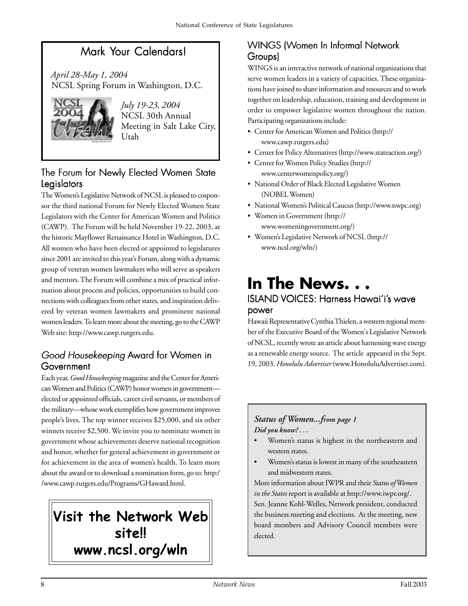### Mark Your Calendars!

 *April 28-May 1, 2004* NCSL Spring Forum in Washington, D.C.



*July 19-23, 2004* NCSL 30th Annual Meeting in Salt Lake City, Utah

### The Forum for Newly Elected Women State Legislators

The Women's Legislative Network of NCSL is pleased to cosponsor the third national Forum for Newly Elected Women State Legislators with the Center for American Women and Politics (CAWP). The Forum will be held November 19-22, 2003, at the historic Mayflower Renaissance Hotel in Washington, D.C. All women who have been elected or appointed to legislatures since 2001 are invited to this year's Forum, along with a dynamic group of veteran women lawmakers who will serve as speakers and mentors. The Forum will combine a mix of practical information about process and policies, opportunities to build connections with colleagues from other states, and inspiration delivered by veteran women lawmakers and prominent national women leaders. To learn more about the meeting, go to the CAWP Web site: http://www.cawp.rutgers.edu.

### Good Housekeeping Award for Women in **Government**

Each year, *Good Housekeeping* magazine and the Center for American Women and Politics (CAWP) honor women in government elected or appointed officials, career civil servants, or members of the military—whose work exemplifies how government improves people's lives. The top winner receives \$25,000, and six other winners receive \$2,500. We invite you to nominate women in government whose achievements deserve national recognition and honor, whether for general achievement in government or for achievement in the area of women's health. To learn more about the award or to download a nomination form, go to: http:/ /www.cawp.rutgers.edu/Programs/GHaward.html.

### **Visit the Network Web site!! www.ncsl.org/wln**

### WINGS (Women In Informal Network Groups)

WINGS is an interactive network of national organizations that serve women leaders in a variety of capacities. These organizations have joined to share information and resources and to work together on leadership, education, training and development in order to empower legislative women throughout the nation. Participating organizations include:

- •· Center for American Women and Politics (http:// www.cawp.rutgers.edu)
- Center for Policy Alternatives (http://www.stateaction.org/)
- Center for Women Policy Studies (http:// www.centerwomenpolicy.org/)
- National Order of Black Elected Legislative Women (NOBEL Women)
- National Women's Political Caucus (http://www.nwpc.org)
- Women in Government (http:// www.womeningovernment.org/)
- Women's Legislative Network of NCSL (http:// www.ncsl.org/wln/)

## **In The News. . .**

### ISLAND VOICES: Harness Hawai'i's wave power

Hawaii Representative Cynthia Thielen, a western regional member of the Executive Board of the Women's Legislative Network of NCSL, recently wrote an article about harnessing wave energy as a renewable energy source. The article appeared in the Sept. 19, 2003, *Honolulu Advertiser* (www.HonoluluAdvertiser.com).

#### *Status of Women...from page 1 Did you know? . . .*

- Women's status is highest in the northeastern and western states.
- Women's status is lowest in many of the southeastern and midwestern states.

More information about IWPR and their *Status of Women in the States* report is available at http://www.iwpr.org/. Sen. Jeanne Kohl-Welles, Network president, conducted the business meeting and elections. At the meeting, new board members and Advisory Council members were elected.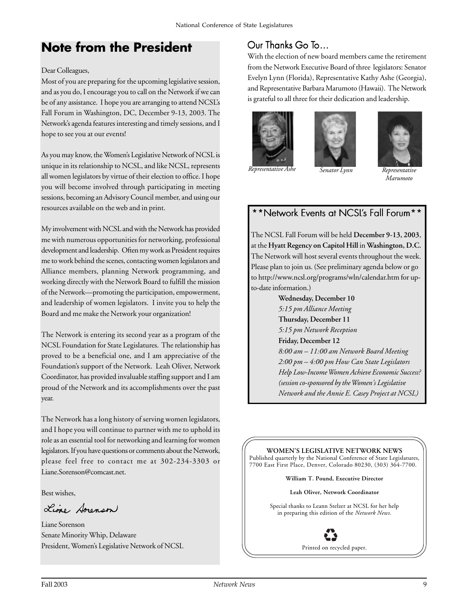### **Note from the President**

#### Dear Colleagues,

Most of you are preparing for the upcoming legislative session, and as you do, I encourage you to call on the Network if we can be of any assistance. I hope you are arranging to attend NCSL's Fall Forum in Washington, DC, December 9-13, 2003. The Network's agenda features interesting and timely sessions, and I hope to see you at our events!

As you may know, the Women's Legislative Network of NCSL is unique in its relationship to NCSL, and like NCSL, represents all women legislators by virtue of their election to office. I hope you will become involved through participating in meeting sessions, becoming an Advisory Council member, and using our resources available on the web and in print.

My involvement with NCSL and with the Network has provided me with numerous opportunities for networking, professional development and leadership. Often my work as President requires me to work behind the scenes, contacting women legislators and Alliance members, planning Network programming, and working directly with the Network Board to fulfill the mission of the Network—promoting the participation, empowerment, and leadership of women legislators. I invite you to help the Board and me make the Network your organization!

The Network is entering its second year as a program of the NCSL Foundation for State Legislatures. The relationship has proved to be a beneficial one, and I am appreciative of the Foundation's support of the Network. Leah Oliver, Network Coordinator, has provided invaluable staffing support and I am proud of the Network and its accomplishments over the past year.

The Network has a long history of serving women legislators, and I hope you will continue to partner with me to uphold its role as an essential tool for networking and learning for women legislators. If you have questions or comments about the Network, please feel free to contact me at 302-234-3303 or Liane.Sorenson@comcast.net.

Best wishes,

Line Avenson

Liane Sorenson Senate Minority Whip, Delaware President, Women's Legislative Network of NCSL

### Our Thanks Go To…

With the election of new board members came the retirement from the Network Executive Board of three legislators: Senator Evelyn Lynn (Florida), Representative Kathy Ashe (Georgia), and Representative Barbara Marumoto (Hawaii). The Network is grateful to all three for their dedication and leadership.







*Representative Ashe Senator Lynn Representative*

*Marumoto*

### \*\*Network Events at NCSL's Fall Forum\*\*

The NCSL Fall Forum will be held **December 9-13, 2003**, at the **Hyatt Regency on Capitol Hill** in **Washington, D.C.** The Network will host several events throughout the week. Please plan to join us. (See preliminary agenda below or go to http://www.ncsl.org/programs/wln/calendar.htm for upto-date information.)

> **Wednesday, December 10** *5:15 pm Alliance Meeting* **Thursday, December 11** *5:15 pm Network Reception* **Friday, December 12** *8:00 am – 11:00 am Network Board Meeting 2:00 pm – 4:00 pm How Can State Legislators Help Low-Income Women Achieve Economic Success? (session co-sponsored by the Women's Legislative Network and the Annie E. Casey Project at NCSL)*

**WOMEN'S LEGISLATIVE NETWORK NEWS** Published quarterly by the National Conference of State Legislatures, 7700 East First Place, Denver, Colorado 80230, (303) 364-7700.

**William T. Pound, Executive Director**

**Leah Oliver, Network Coordinator**

Special thanks to Leann Stelzer at NCSL for her help in preparing this edition of the *Network News*.